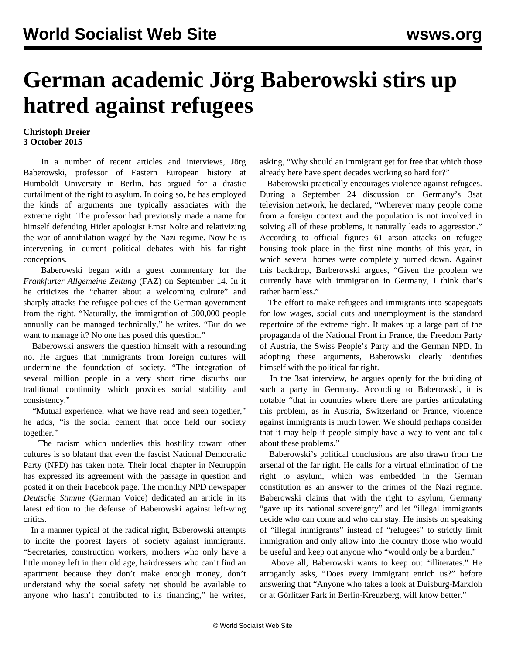## **German academic Jörg Baberowski stirs up hatred against refugees**

## **Christoph Dreier 3 October 2015**

 In a number of recent articles and interviews, Jörg Baberowski, professor of Eastern European history at Humboldt University in Berlin, has argued for a drastic curtailment of the right to asylum. In doing so, he has employed the kinds of arguments one typically associates with the extreme right. The professor had previously made a name for himself defending Hitler apologist Ernst Nolte and relativizing the war of annihilation waged by the Nazi regime. Now he is intervening in current political debates with his far-right conceptions.

 Baberowski began with a guest commentary for the *Frankfurter Allgemeine Zeitung* (FAZ) on September 14. In it he criticizes the "chatter about a welcoming culture" and sharply attacks the refugee policies of the German government from the right. "Naturally, the immigration of 500,000 people annually can be managed technically," he writes. "But do we want to manage it? No one has posed this question."

 Baberowski answers the question himself with a resounding no. He argues that immigrants from foreign cultures will undermine the foundation of society. "The integration of several million people in a very short time disturbs our traditional continuity which provides social stability and consistency."

 "Mutual experience, what we have read and seen together," he adds, "is the social cement that once held our society together."

 The racism which underlies this hostility toward other cultures is so blatant that even the fascist National Democratic Party (NPD) has taken note. Their local chapter in Neuruppin has expressed its agreement with the passage in question and posted it on their Facebook page. The monthly NPD newspaper *Deutsche Stimme* (German Voice) dedicated an article in its latest edition to the defense of Baberowski against left-wing critics.

 In a manner typical of the radical right, Baberowski attempts to incite the poorest layers of society against immigrants. "Secretaries, construction workers, mothers who only have a little money left in their old age, hairdressers who can't find an apartment because they don't make enough money, don't understand why the social safety net should be available to anyone who hasn't contributed to its financing," he writes, asking, "Why should an immigrant get for free that which those already here have spent decades working so hard for?"

 Baberowski practically encourages violence against refugees. During a September 24 discussion on Germany's 3sat television network, he declared, "Wherever many people come from a foreign context and the population is not involved in solving all of these problems, it naturally leads to aggression." According to official figures 61 arson attacks on refugee housing took place in the first nine months of this year, in which several homes were completely burned down. Against this backdrop, Barberowski argues, "Given the problem we currently have with immigration in Germany, I think that's rather harmless."

 The effort to make refugees and immigrants into scapegoats for low wages, social cuts and unemployment is the standard repertoire of the extreme right. It makes up a large part of the propaganda of the National Front in France, the Freedom Party of Austria, the Swiss People's Party and the German NPD. In adopting these arguments, Baberowski clearly identifies himself with the political far right.

 In the 3sat interview, he argues openly for the building of such a party in Germany. According to Baberowski, it is notable "that in countries where there are parties articulating this problem, as in Austria, Switzerland or France, violence against immigrants is much lower. We should perhaps consider that it may help if people simply have a way to vent and talk about these problems."

 Baberowski's political conclusions are also drawn from the arsenal of the far right. He calls for a virtual elimination of the right to asylum, which was embedded in the German constitution as an answer to the crimes of the Nazi regime. Baberowski claims that with the right to asylum, Germany "gave up its national sovereignty" and let "illegal immigrants decide who can come and who can stay. He insists on speaking of "illegal immigrants" instead of "refugees" to strictly limit immigration and only allow into the country those who would be useful and keep out anyone who "would only be a burden."

 Above all, Baberowski wants to keep out "illiterates." He arrogantly asks, "Does every immigrant enrich us?" before answering that "Anyone who takes a look at Duisburg-Marxloh or at Görlitzer Park in Berlin-Kreuzberg, will know better."